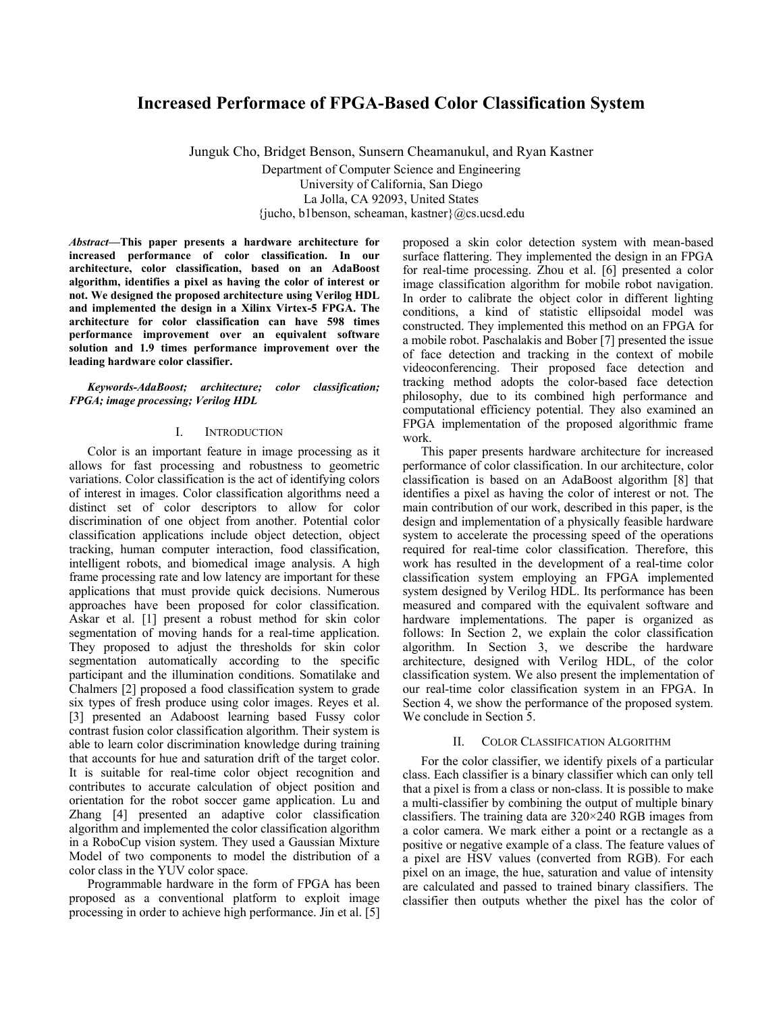# **Increased Performace of FPGA-Based Color Classification System**

Junguk Cho, Bridget Benson, Sunsern Cheamanukul, and Ryan Kastner Department of Computer Science and Engineering University of California, San Diego La Jolla, CA 92093, United States {jucho, b1benson, scheaman, kastner}@cs.ucsd.edu

*Abstract***9This paper presents a hardware architecture for increased performance of color classification. In our architecture, color classification, based on an AdaBoost algorithm, identifies a pixel as having the color of interest or not. We designed the proposed architecture using Verilog HDL and implemented the design in a Xilinx Virtex-5 FPGA. The architecture for color classification can have 598 times performance improvement over an equivalent software solution and 1.9 times performance improvement over the leading hardware color classifier.** 

*Keywords-AdaBoost; architecture; color classification; FPGA; image processing; Verilog HDL* 

### I. INTRODUCTION

Color is an important feature in image processing as it allows for fast processing and robustness to geometric variations. Color classification is the act of identifying colors of interest in images. Color classification algorithms need a distinct set of color descriptors to allow for color discrimination of one object from another. Potential color classification applications include object detection, object tracking, human computer interaction, food classification, intelligent robots, and biomedical image analysis. A high frame processing rate and low latency are important for these applications that must provide quick decisions. Numerous approaches have been proposed for color classification. Askar et al. [1] present a robust method for skin color segmentation of moving hands for a real-time application. They proposed to adjust the thresholds for skin color segmentation automatically according to the specific participant and the illumination conditions. Somatilake and Chalmers [2] proposed a food classification system to grade six types of fresh produce using color images. Reyes et al. [3] presented an Adaboost learning based Fussy color contrast fusion color classification algorithm. Their system is able to learn color discrimination knowledge during training that accounts for hue and saturation drift of the target color. It is suitable for real-time color object recognition and contributes to accurate calculation of object position and orientation for the robot soccer game application. Lu and Zhang [4] presented an adaptive color classification algorithm and implemented the color classification algorithm in a RoboCup vision system. They used a Gaussian Mixture Model of two components to model the distribution of a color class in the YUV color space.

Programmable hardware in the form of FPGA has been proposed as a conventional platform to exploit image processing in order to achieve high performance. Jin et al. [5] proposed a skin color detection system with mean-based surface flattering. They implemented the design in an FPGA for real-time processing. Zhou et al. [6] presented a color image classification algorithm for mobile robot navigation. In order to calibrate the object color in different lighting conditions, a kind of statistic ellipsoidal model was constructed. They implemented this method on an FPGA for a mobile robot. Paschalakis and Bober [7] presented the issue of face detection and tracking in the context of mobile videoconferencing. Their proposed face detection and tracking method adopts the color-based face detection philosophy, due to its combined high performance and computational efficiency potential. They also examined an FPGA implementation of the proposed algorithmic frame work.

This paper presents hardware architecture for increased performance of color classification. In our architecture, color classification is based on an AdaBoost algorithm [8] that identifies a pixel as having the color of interest or not. The main contribution of our work, described in this paper, is the design and implementation of a physically feasible hardware system to accelerate the processing speed of the operations required for real-time color classification. Therefore, this work has resulted in the development of a real-time color classification system employing an FPGA implemented system designed by Verilog HDL. Its performance has been measured and compared with the equivalent software and hardware implementations. The paper is organized as follows: In Section 2, we explain the color classification algorithm. In Section 3, we describe the hardware architecture, designed with Verilog HDL, of the color classification system. We also present the implementation of our real-time color classification system in an FPGA. In Section 4, we show the performance of the proposed system. We conclude in Section 5.

### II. COLOR CLASSIFICATION ALGORITHM

For the color classifier, we identify pixels of a particular class. Each classifier is a binary classifier which can only tell that a pixel is from a class or non-class. It is possible to make a multi-classifier by combining the output of multiple binary classifiers. The training data are 320×240 RGB images from a color camera. We mark either a point or a rectangle as a positive or negative example of a class. The feature values of a pixel are HSV values (converted from RGB). For each pixel on an image, the hue, saturation and value of intensity are calculated and passed to trained binary classifiers. The classifier then outputs whether the pixel has the color of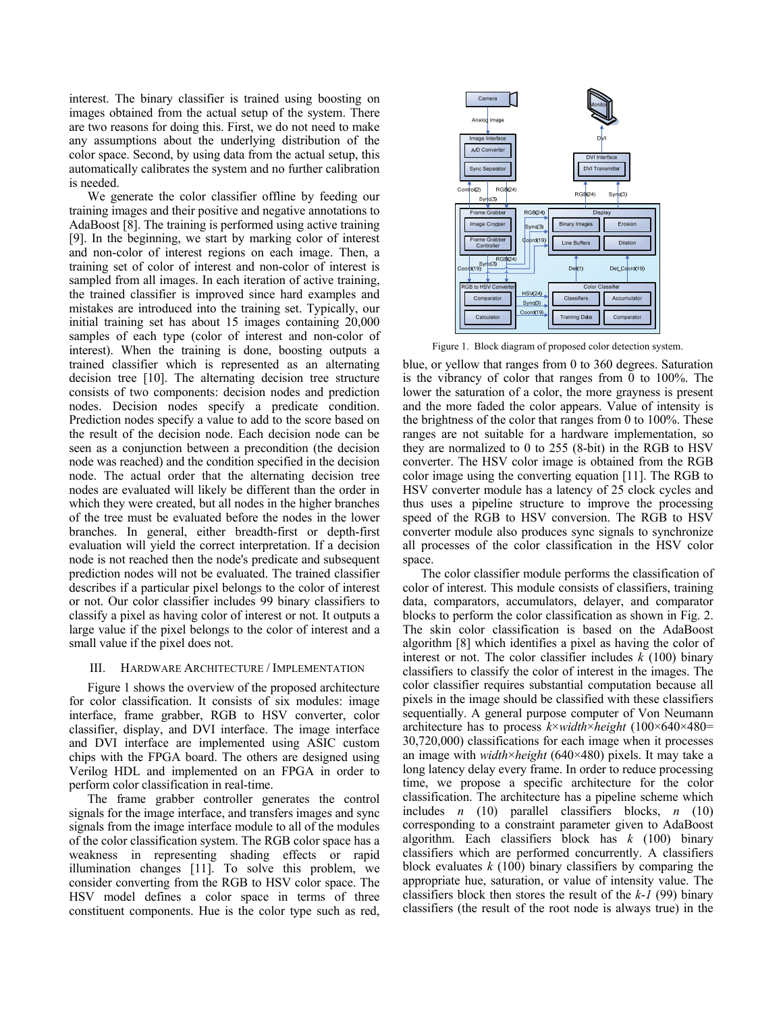interest. The binary classifier is trained using boosting on images obtained from the actual setup of the system. There are two reasons for doing this. First, we do not need to make any assumptions about the underlying distribution of the color space. Second, by using data from the actual setup, this automatically calibrates the system and no further calibration is needed.

We generate the color classifier offline by feeding our training images and their positive and negative annotations to AdaBoost [8]. The training is performed using active training [9]. In the beginning, we start by marking color of interest and non-color of interest regions on each image. Then, a training set of color of interest and non-color of interest is sampled from all images. In each iteration of active training, the trained classifier is improved since hard examples and mistakes are introduced into the training set. Typically, our initial training set has about 15 images containing 20,000 samples of each type (color of interest and non-color of interest). When the training is done, boosting outputs a trained classifier which is represented as an alternating decision tree [10]. The alternating decision tree structure consists of two components: decision nodes and prediction nodes. Decision nodes specify a predicate condition. Prediction nodes specify a value to add to the score based on the result of the decision node. Each decision node can be seen as a conjunction between a precondition (the decision node was reached) and the condition specified in the decision node. The actual order that the alternating decision tree nodes are evaluated will likely be different than the order in which they were created, but all nodes in the higher branches of the tree must be evaluated before the nodes in the lower branches. In general, either breadth-first or depth-first evaluation will yield the correct interpretation. If a decision node is not reached then the node's predicate and subsequent prediction nodes will not be evaluated. The trained classifier describes if a particular pixel belongs to the color of interest or not. Our color classifier includes 99 binary classifiers to classify a pixel as having color of interest or not. It outputs a large value if the pixel belongs to the color of interest and a small value if the pixel does not.

## III. HARDWARE ARCHITECTURE / IMPLEMENTATION

Figure 1 shows the overview of the proposed architecture for color classification. It consists of six modules: image interface, frame grabber, RGB to HSV converter, color classifier, display, and DVI interface. The image interface and DVI interface are implemented using ASIC custom chips with the FPGA board. The others are designed using Verilog HDL and implemented on an FPGA in order to perform color classification in real-time.

The frame grabber controller generates the control signals for the image interface, and transfers images and sync signals from the image interface module to all of the modules of the color classification system. The RGB color space has a weakness in representing shading effects or rapid illumination changes [11]. To solve this problem, we consider converting from the RGB to HSV color space. The HSV model defines a color space in terms of three constituent components. Hue is the color type such as red,



Figure 1. Block diagram of proposed color detection system.

blue, or yellow that ranges from 0 to 360 degrees. Saturation is the vibrancy of color that ranges from  $\overline{0}$  to 100%. The lower the saturation of a color, the more grayness is present and the more faded the color appears. Value of intensity is the brightness of the color that ranges from 0 to 100%. These ranges are not suitable for a hardware implementation, so they are normalized to 0 to 255 (8-bit) in the RGB to HSV converter. The HSV color image is obtained from the RGB color image using the converting equation [11]. The RGB to HSV converter module has a latency of 25 clock cycles and thus uses a pipeline structure to improve the processing speed of the RGB to HSV conversion. The RGB to HSV converter module also produces sync signals to synchronize all processes of the color classification in the HSV color space.

The color classifier module performs the classification of color of interest. This module consists of classifiers, training data, comparators, accumulators, delayer, and comparator blocks to perform the color classification as shown in Fig. 2. The skin color classification is based on the AdaBoost algorithm [8] which identifies a pixel as having the color of interest or not. The color classifier includes *k* (100) binary classifiers to classify the color of interest in the images. The color classifier requires substantial computation because all pixels in the image should be classified with these classifiers sequentially. A general purpose computer of Von Neumann architecture has to process *k*×*width*×*height* (100×640×480= 30,720,000) classifications for each image when it processes an image with *width*×*height* (640×480) pixels. It may take a long latency delay every frame. In order to reduce processing time, we propose a specific architecture for the color classification. The architecture has a pipeline scheme which includes *n* (10) parallel classifiers blocks, *n* (10) corresponding to a constraint parameter given to AdaBoost algorithm. Each classifiers block has *k* (100) binary classifiers which are performed concurrently. A classifiers block evaluates *k* (100) binary classifiers by comparing the appropriate hue, saturation, or value of intensity value. The classifiers block then stores the result of the *k*-*1* (99) binary classifiers (the result of the root node is always true) in the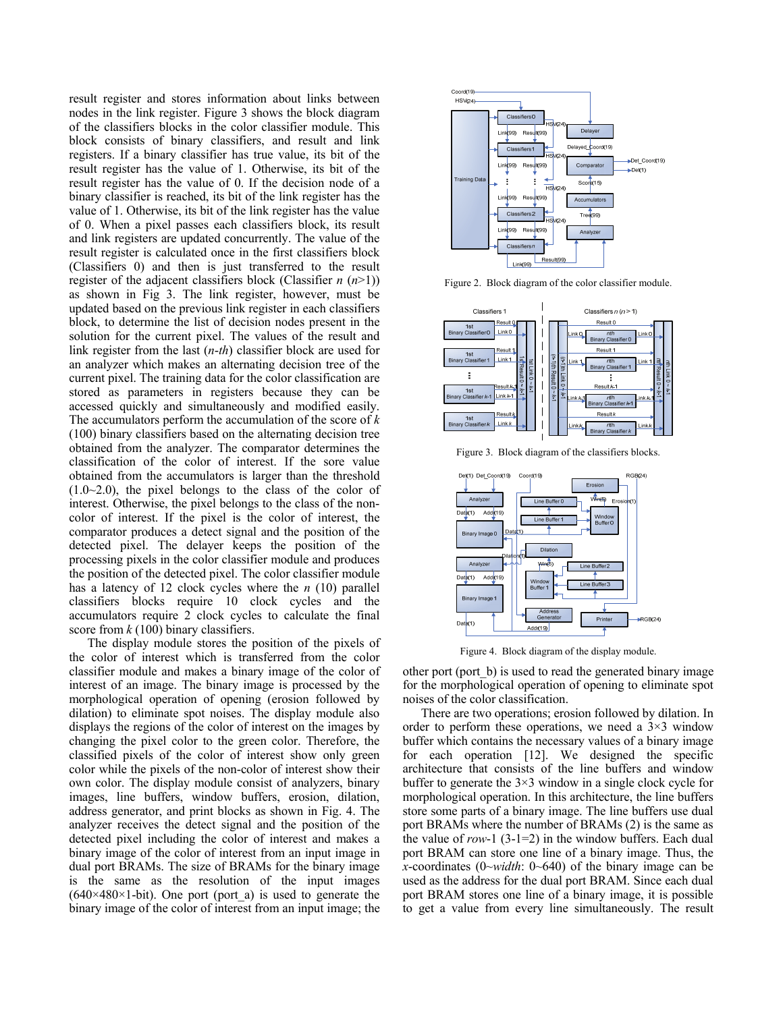result register and stores information about links between nodes in the link register. Figure 3 shows the block diagram of the classifiers blocks in the color classifier module. This block consists of binary classifiers, and result and link registers. If a binary classifier has true value, its bit of the result register has the value of 1. Otherwise, its bit of the result register has the value of 0. If the decision node of a binary classifier is reached, its bit of the link register has the value of 1. Otherwise, its bit of the link register has the value of 0. When a pixel passes each classifiers block, its result and link registers are updated concurrently. The value of the result register is calculated once in the first classifiers block (Classifiers 0) and then is just transferred to the result register of the adjacent classifiers block (Classifier *n* (*n*>1)) as shown in Fig 3. The link register, however, must be updated based on the previous link register in each classifiers block, to determine the list of decision nodes present in the solution for the current pixel. The values of the result and link register from the last (*n*-*th*) classifier block are used for an analyzer which makes an alternating decision tree of the current pixel. The training data for the color classification are stored as parameters in registers because they can be accessed quickly and simultaneously and modified easily. The accumulators perform the accumulation of the score of *k* (100) binary classifiers based on the alternating decision tree obtained from the analyzer. The comparator determines the classification of the color of interest. If the sore value obtained from the accumulators is larger than the threshold  $(1.0-2.0)$ , the pixel belongs to the class of the color of interest. Otherwise, the pixel belongs to the class of the noncolor of interest. If the pixel is the color of interest, the comparator produces a detect signal and the position of the detected pixel. The delayer keeps the position of the processing pixels in the color classifier module and produces the position of the detected pixel. The color classifier module has a latency of 12 clock cycles where the *n* (10) parallel classifiers blocks require 10 clock cycles and the accumulators require 2 clock cycles to calculate the final score from *k* (100) binary classifiers.

The display module stores the position of the pixels of the color of interest which is transferred from the color classifier module and makes a binary image of the color of interest of an image. The binary image is processed by the morphological operation of opening (erosion followed by dilation) to eliminate spot noises. The display module also displays the regions of the color of interest on the images by changing the pixel color to the green color. Therefore, the classified pixels of the color of interest show only green color while the pixels of the non-color of interest show their own color. The display module consist of analyzers, binary images, line buffers, window buffers, erosion, dilation, address generator, and print blocks as shown in Fig. 4. The analyzer receives the detect signal and the position of the detected pixel including the color of interest and makes a binary image of the color of interest from an input image in dual port BRAMs. The size of BRAMs for the binary image is the same as the resolution of the input images  $(640\times480\times1-bit)$ . One port (port a) is used to generate the binary image of the color of interest from an input image; the



Figure 2. Block diagram of the color classifier module.



Figure 3. Block diagram of the classifiers blocks.



Figure 4. Block diagram of the display module.

other port (port\_b) is used to read the generated binary image for the morphological operation of opening to eliminate spot noises of the color classification.

There are two operations; erosion followed by dilation. In order to perform these operations, we need a  $3\times3$  window buffer which contains the necessary values of a binary image for each operation [12]. We designed the specific architecture that consists of the line buffers and window buffer to generate the 3×3 window in a single clock cycle for morphological operation. In this architecture, the line buffers store some parts of a binary image. The line buffers use dual port BRAMs where the number of BRAMs (2) is the same as the value of *row*-1 (3-1=2) in the window buffers. Each dual port BRAM can store one line of a binary image. Thus, the *x*-coordinates (0~*width*: 0~640) of the binary image can be used as the address for the dual port BRAM. Since each dual port BRAM stores one line of a binary image, it is possible to get a value from every line simultaneously. The result